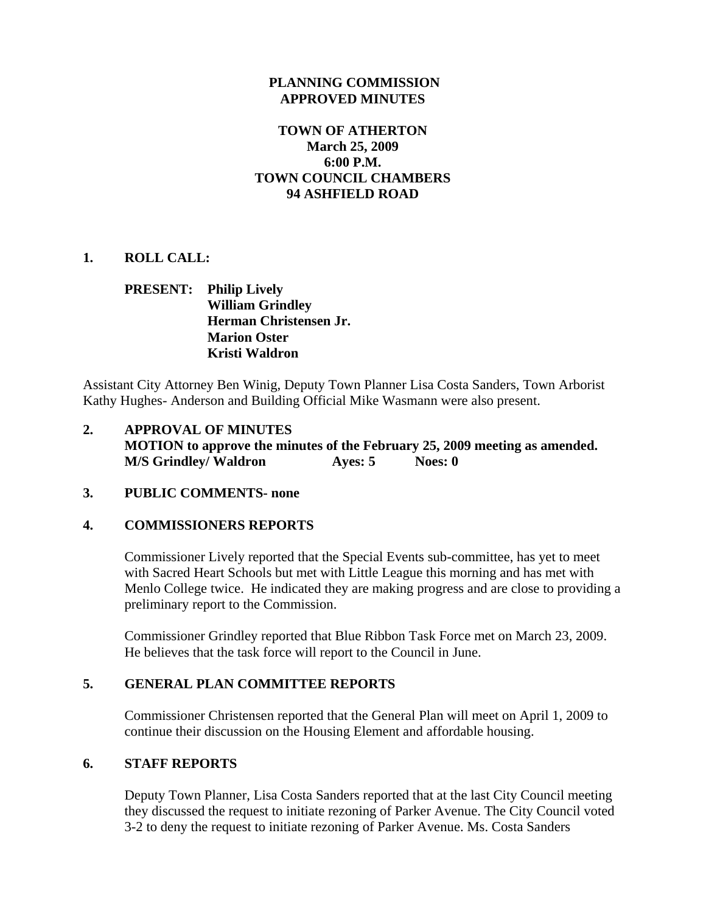#### **PLANNING COMMISSION APPROVED MINUTES**

# **TOWN OF ATHERTON March 25, 2009 6:00 P.M. TOWN COUNCIL CHAMBERS 94 ASHFIELD ROAD**

## **1. ROLL CALL:**

# **PRESENT: Philip Lively William Grindley Herman Christensen Jr. Marion Oster Kristi Waldron**

Assistant City Attorney Ben Winig, Deputy Town Planner Lisa Costa Sanders, Town Arborist Kathy Hughes- Anderson and Building Official Mike Wasmann were also present.

**2. APPROVAL OF MINUTES MOTION to approve the minutes of the February 25, 2009 meeting as amended. M/S Grindley/ Waldron Ayes: 5** Noes: 0

#### **3. PUBLIC COMMENTS- none**

#### **4. COMMISSIONERS REPORTS**

Commissioner Lively reported that the Special Events sub-committee, has yet to meet with Sacred Heart Schools but met with Little League this morning and has met with Menlo College twice. He indicated they are making progress and are close to providing a preliminary report to the Commission.

Commissioner Grindley reported that Blue Ribbon Task Force met on March 23, 2009. He believes that the task force will report to the Council in June.

#### **5. GENERAL PLAN COMMITTEE REPORTS**

Commissioner Christensen reported that the General Plan will meet on April 1, 2009 to continue their discussion on the Housing Element and affordable housing.

#### **6. STAFF REPORTS**

Deputy Town Planner, Lisa Costa Sanders reported that at the last City Council meeting they discussed the request to initiate rezoning of Parker Avenue. The City Council voted 3-2 to deny the request to initiate rezoning of Parker Avenue. Ms. Costa Sanders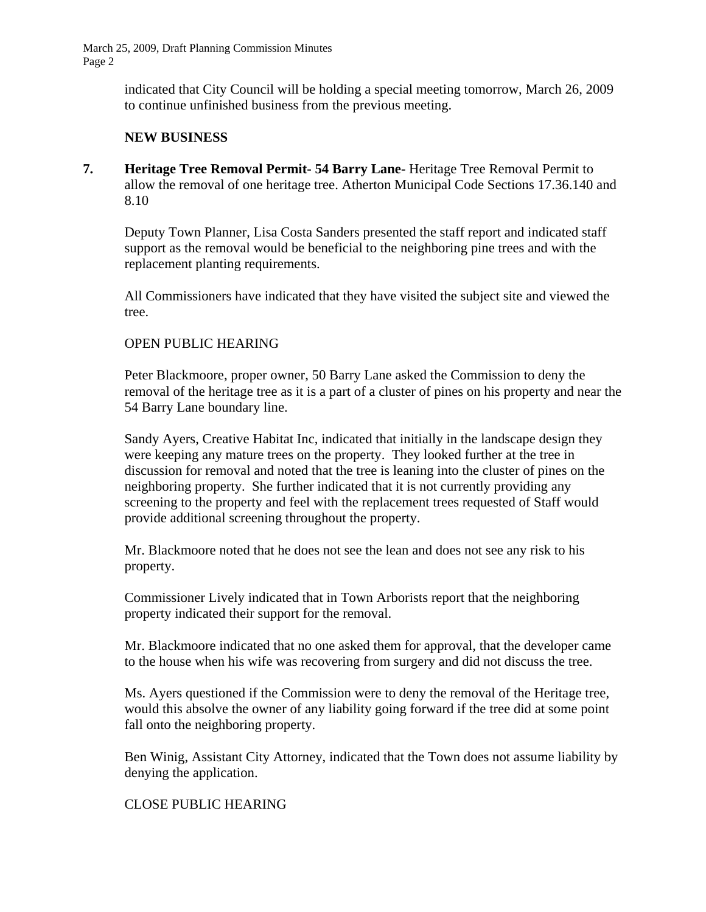> indicated that City Council will be holding a special meeting tomorrow, March 26, 2009 to continue unfinished business from the previous meeting.

## **NEW BUSINESS**

**7. Heritage Tree Removal Permit- 54 Barry Lane-** Heritage Tree Removal Permit to allow the removal of one heritage tree. Atherton Municipal Code Sections 17.36.140 and 8.10

Deputy Town Planner, Lisa Costa Sanders presented the staff report and indicated staff support as the removal would be beneficial to the neighboring pine trees and with the replacement planting requirements.

All Commissioners have indicated that they have visited the subject site and viewed the tree.

#### OPEN PUBLIC HEARING

Peter Blackmoore, proper owner, 50 Barry Lane asked the Commission to deny the removal of the heritage tree as it is a part of a cluster of pines on his property and near the 54 Barry Lane boundary line.

 Sandy Ayers, Creative Habitat Inc, indicated that initially in the landscape design they were keeping any mature trees on the property. They looked further at the tree in discussion for removal and noted that the tree is leaning into the cluster of pines on the neighboring property. She further indicated that it is not currently providing any screening to the property and feel with the replacement trees requested of Staff would provide additional screening throughout the property.

Mr. Blackmoore noted that he does not see the lean and does not see any risk to his property.

Commissioner Lively indicated that in Town Arborists report that the neighboring property indicated their support for the removal.

Mr. Blackmoore indicated that no one asked them for approval, that the developer came to the house when his wife was recovering from surgery and did not discuss the tree.

Ms. Ayers questioned if the Commission were to deny the removal of the Heritage tree, would this absolve the owner of any liability going forward if the tree did at some point fall onto the neighboring property.

Ben Winig, Assistant City Attorney, indicated that the Town does not assume liability by denying the application.

# CLOSE PUBLIC HEARING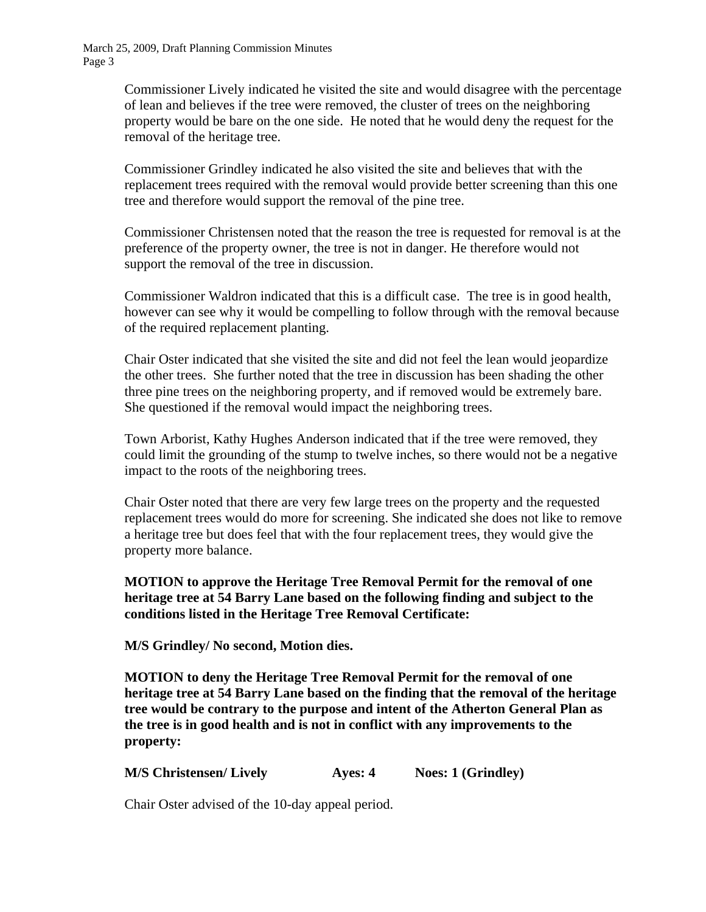> Commissioner Lively indicated he visited the site and would disagree with the percentage of lean and believes if the tree were removed, the cluster of trees on the neighboring property would be bare on the one side. He noted that he would deny the request for the removal of the heritage tree.

> Commissioner Grindley indicated he also visited the site and believes that with the replacement trees required with the removal would provide better screening than this one tree and therefore would support the removal of the pine tree.

> Commissioner Christensen noted that the reason the tree is requested for removal is at the preference of the property owner, the tree is not in danger. He therefore would not support the removal of the tree in discussion.

> Commissioner Waldron indicated that this is a difficult case. The tree is in good health, however can see why it would be compelling to follow through with the removal because of the required replacement planting.

Chair Oster indicated that she visited the site and did not feel the lean would jeopardize the other trees. She further noted that the tree in discussion has been shading the other three pine trees on the neighboring property, and if removed would be extremely bare. She questioned if the removal would impact the neighboring trees.

Town Arborist, Kathy Hughes Anderson indicated that if the tree were removed, they could limit the grounding of the stump to twelve inches, so there would not be a negative impact to the roots of the neighboring trees.

Chair Oster noted that there are very few large trees on the property and the requested replacement trees would do more for screening. She indicated she does not like to remove a heritage tree but does feel that with the four replacement trees, they would give the property more balance.

**MOTION to approve the Heritage Tree Removal Permit for the removal of one heritage tree at 54 Barry Lane based on the following finding and subject to the conditions listed in the Heritage Tree Removal Certificate:** 

 **M/S Grindley/ No second, Motion dies.** 

**MOTION to deny the Heritage Tree Removal Permit for the removal of one heritage tree at 54 Barry Lane based on the finding that the removal of the heritage tree would be contrary to the purpose and intent of the Atherton General Plan as the tree is in good health and is not in conflict with any improvements to the property:** 

**M/S Christensen/ Lively Ayes: 4 Noes: 1 (Grindley)** 

Chair Oster advised of the 10-day appeal period.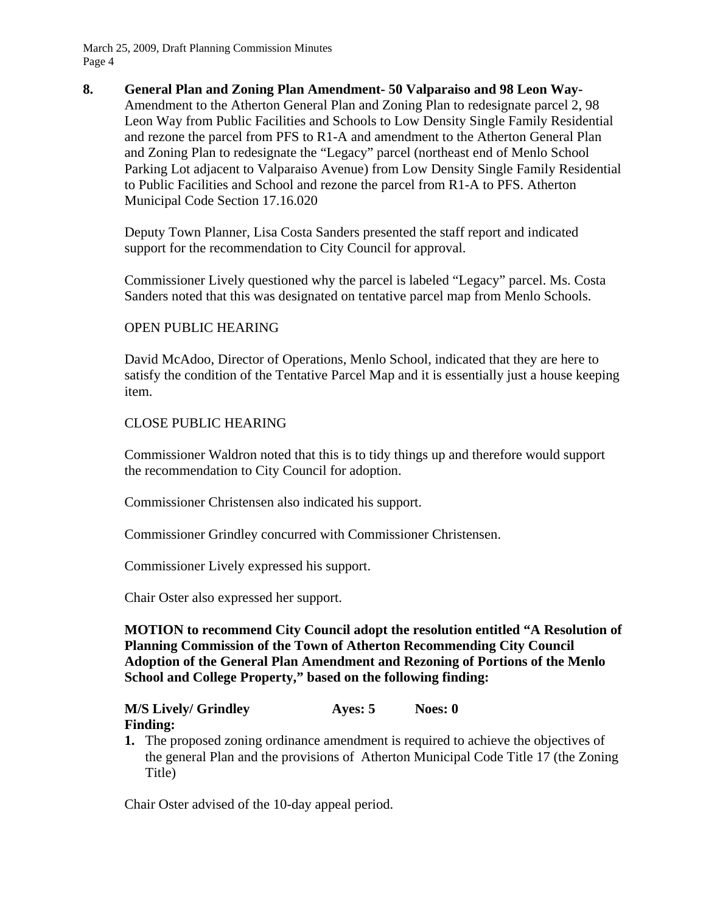#### **8. General Plan and Zoning Plan Amendment- 50 Valparaiso and 98 Leon Way-**

Amendment to the Atherton General Plan and Zoning Plan to redesignate parcel 2, 98 Leon Way from Public Facilities and Schools to Low Density Single Family Residential and rezone the parcel from PFS to R1-A and amendment to the Atherton General Plan and Zoning Plan to redesignate the "Legacy" parcel (northeast end of Menlo School Parking Lot adjacent to Valparaiso Avenue) from Low Density Single Family Residential to Public Facilities and School and rezone the parcel from R1-A to PFS. Atherton Municipal Code Section 17.16.020

Deputy Town Planner, Lisa Costa Sanders presented the staff report and indicated support for the recommendation to City Council for approval.

Commissioner Lively questioned why the parcel is labeled "Legacy" parcel. Ms. Costa Sanders noted that this was designated on tentative parcel map from Menlo Schools.

#### OPEN PUBLIC HEARING

David McAdoo, Director of Operations, Menlo School, indicated that they are here to satisfy the condition of the Tentative Parcel Map and it is essentially just a house keeping item.

#### CLOSE PUBLIC HEARING

Commissioner Waldron noted that this is to tidy things up and therefore would support the recommendation to City Council for adoption.

Commissioner Christensen also indicated his support.

Commissioner Grindley concurred with Commissioner Christensen.

Commissioner Lively expressed his support.

Chair Oster also expressed her support.

**MOTION to recommend City Council adopt the resolution entitled "A Resolution of Planning Commission of the Town of Atherton Recommending City Council Adoption of the General Plan Amendment and Rezoning of Portions of the Menlo School and College Property," based on the following finding:** 

# **M/S Lively/ Grindley Ayes: 5 Noes: 0**

- **Finding: 1.** The proposed zoning ordinance amendment is required to achieve the objectives of
- the general Plan and the provisions of Atherton Municipal Code Title 17 (the Zoning Title)

Chair Oster advised of the 10-day appeal period.